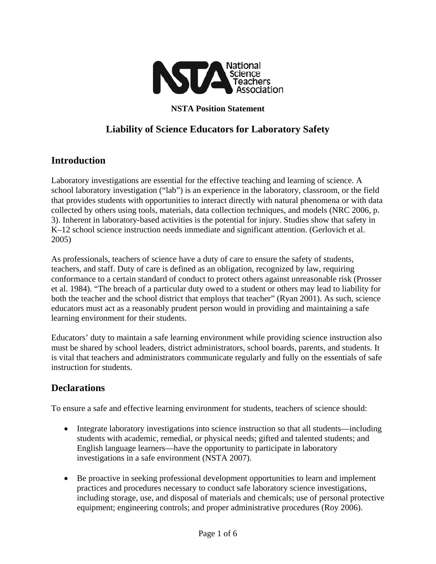

**NSTA Position Statement** 

# **Liability of Science Educators for Laboratory Safety**

## **Introduction**

Laboratory investigations are essential for the effective teaching and learning of science. A school laboratory investigation ("lab") is an experience in the laboratory, classroom, or the field that provides students with opportunities to interact directly with natural phenomena or with data collected by others using tools, materials, data collection techniques, and models (NRC 2006, p. 3). Inherent in laboratory-based activities is the potential for injury. Studies show that safety in K–12 school science instruction needs immediate and significant attention. (Gerlovich et al. 2005)

As professionals, teachers of science have a duty of care to ensure the safety of students, teachers, and staff. Duty of care is defined as an obligation, recognized by law, requiring conformance to a certain standard of conduct to protect others against unreasonable risk (Prosser et al. 1984). "The breach of a particular duty owed to a student or others may lead to liability for both the teacher and the school district that employs that teacher" (Ryan 2001). As such, science educators must act as a reasonably prudent person would in providing and maintaining a safe learning environment for their students.

Educators' duty to maintain a safe learning environment while providing science instruction also must be shared by school leaders, district administrators, school boards, parents, and students. It is vital that teachers and administrators communicate regularly and fully on the essentials of safe instruction for students.

## **Declarations**

To ensure a safe and effective learning environment for students, teachers of science should:

- Integrate laboratory investigations into science instruction so that all students—including students with academic, remedial, or physical needs; gifted and talented students; and English language learners—have the opportunity to participate in laboratory investigations in a safe environment (NSTA 2007).
- Be proactive in seeking professional development opportunities to learn and implement practices and procedures necessary to conduct safe laboratory science investigations, including storage, use, and disposal of materials and chemicals; use of personal protective equipment; engineering controls; and proper administrative procedures (Roy 2006).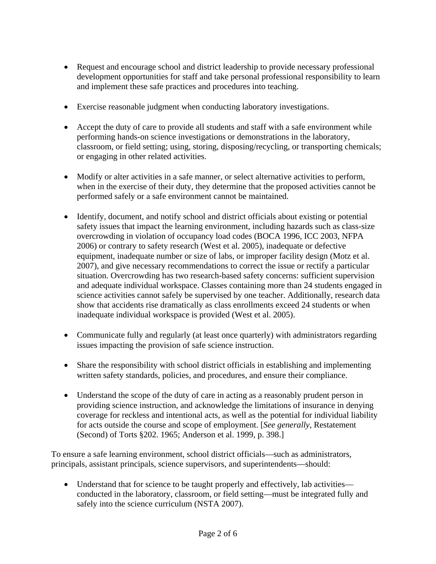- Request and encourage school and district leadership to provide necessary professional development opportunities for staff and take personal professional responsibility to learn and implement these safe practices and procedures into teaching.
- Exercise reasonable judgment when conducting laboratory investigations.
- Accept the duty of care to provide all students and staff with a safe environment while performing hands-on science investigations or demonstrations in the laboratory, classroom, or field setting; using, storing, disposing/recycling, or transporting chemicals; or engaging in other related activities.
- Modify or alter activities in a safe manner, or select alternative activities to perform, when in the exercise of their duty, they determine that the proposed activities cannot be performed safely or a safe environment cannot be maintained.
- Identify, document, and notify school and district officials about existing or potential safety issues that impact the learning environment, including hazards such as class-size overcrowding in violation of occupancy load codes (BOCA 1996, ICC 2003, NFPA 2006) or contrary to safety research (West et al. 2005), inadequate or defective equipment, inadequate number or size of labs, or improper facility design (Motz et al. 2007), and give necessary recommendations to correct the issue or rectify a particular situation. Overcrowding has two research-based safety concerns: sufficient supervision and adequate individual workspace. Classes containing more than 24 students engaged in science activities cannot safely be supervised by one teacher. Additionally, research data show that accidents rise dramatically as class enrollments exceed 24 students or when inadequate individual workspace is provided (West et al. 2005).
- Communicate fully and regularly (at least once quarterly) with administrators regarding issues impacting the provision of safe science instruction.
- Share the responsibility with school district officials in establishing and implementing written safety standards, policies, and procedures, and ensure their compliance.
- Understand the scope of the duty of care in acting as a reasonably prudent person in providing science instruction, and acknowledge the limitations of insurance in denying coverage for reckless and intentional acts, as well as the potential for individual liability for acts outside the course and scope of employment. [*See generally*, Restatement (Second) of Torts §202. 1965; Anderson et al. 1999, p. 398.]

To ensure a safe learning environment, school district officials—such as administrators, principals, assistant principals, science supervisors, and superintendents—should:

• Understand that for science to be taught properly and effectively, lab activities conducted in the laboratory, classroom, or field setting—must be integrated fully and safely into the science curriculum (NSTA 2007).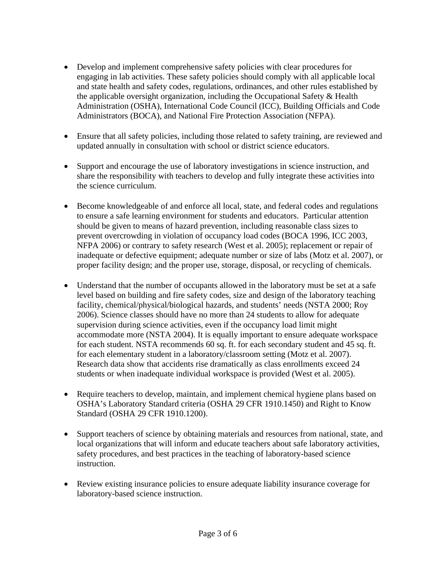- Develop and implement comprehensive safety policies with clear procedures for engaging in lab activities. These safety policies should comply with all applicable local and state health and safety codes, regulations, ordinances, and other rules established by the applicable oversight organization, including the Occupational Safety & Health Administration (OSHA), International Code Council (ICC), Building Officials and Code Administrators (BOCA), and National Fire Protection Association (NFPA).
- Ensure that all safety policies, including those related to safety training, are reviewed and updated annually in consultation with school or district science educators.
- Support and encourage the use of laboratory investigations in science instruction, and share the responsibility with teachers to develop and fully integrate these activities into the science curriculum.
- Become knowledgeable of and enforce all local, state, and federal codes and regulations to ensure a safe learning environment for students and educators. Particular attention should be given to means of hazard prevention, including reasonable class sizes to prevent overcrowding in violation of occupancy load codes (BOCA 1996, ICC 2003, NFPA 2006) or contrary to safety research (West et al. 2005); replacement or repair of inadequate or defective equipment; adequate number or size of labs (Motz et al. 2007), or proper facility design; and the proper use, storage, disposal, or recycling of chemicals.
- Understand that the number of occupants allowed in the laboratory must be set at a safe level based on building and fire safety codes, size and design of the laboratory teaching facility, chemical/physical/biological hazards, and students' needs (NSTA 2000; Roy 2006). Science classes should have no more than 24 students to allow for adequate supervision during science activities, even if the occupancy load limit might accommodate more (NSTA 2004). It is equally important to ensure adequate workspace for each student. NSTA recommends 60 sq. ft. for each secondary student and 45 sq. ft. for each elementary student in a laboratory/classroom setting (Motz et al. 2007). Research data show that accidents rise dramatically as class enrollments exceed 24 students or when inadequate individual workspace is provided (West et al. 2005).
- Require teachers to develop, maintain, and implement chemical hygiene plans based on OSHA's Laboratory Standard criteria (OSHA 29 CFR 1910.1450) and Right to Know Standard (OSHA 29 CFR 1910.1200).
- Support teachers of science by obtaining materials and resources from national, state, and local organizations that will inform and educate teachers about safe laboratory activities, safety procedures, and best practices in the teaching of laboratory-based science instruction.
- Review existing insurance policies to ensure adequate liability insurance coverage for laboratory-based science instruction.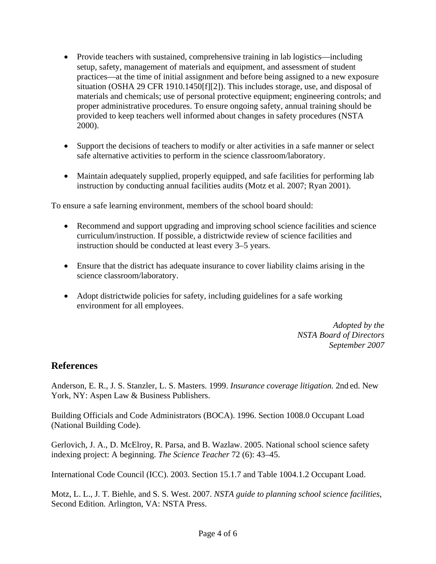- Provide teachers with sustained, comprehensive training in lab logistics—including setup, safety, management of materials and equipment, and assessment of student practices—at the time of initial assignment and before being assigned to a new exposure situation (OSHA 29 CFR 1910.1450[f][2]). This includes storage, use, and disposal of materials and chemicals; use of personal protective equipment; engineering controls; and proper administrative procedures. To ensure ongoing safety, annual training should be provided to keep teachers well informed about changes in safety procedures (NSTA 2000).
- Support the decisions of teachers to modify or alter activities in a safe manner or select safe alternative activities to perform in the science classroom/laboratory.
- Maintain adequately supplied, properly equipped, and safe facilities for performing lab instruction by conducting annual facilities audits (Motz et al. 2007; Ryan 2001).

To ensure a safe learning environment, members of the school board should:

- Recommend and support upgrading and improving school science facilities and science curriculum/instruction. If possible, a districtwide review of science facilities and instruction should be conducted at least every 3–5 years.
- Ensure that the district has adequate insurance to cover liability claims arising in the science classroom/laboratory.
- Adopt districtwide policies for safety, including guidelines for a safe working environment for all employees.

*Adopted by the NSTA Board of Directors September 2007* 

## **References**

Anderson, E. R., [J. S. Stanzler,](http://www.amazon.com/exec/obidos/search-handle-url/002-7047039-7268022?%5Fencoding=UTF8&search-type=ss&index=books&field-author=Jordan%20S.%20Stanzler) [L. S. Masters.](http://www.amazon.com/exec/obidos/search-handle-url/002-7047039-7268022?%5Fencoding=UTF8&search-type=ss&index=books&field-author=Lorelie%20S.%20Masters) 1999. *Insurance coverage litigation.* 2nd ed. New York, NY: Aspen Law & Business Publishers.

Building Officials and Code Administrators (BOCA). 1996. Section 1008.0 Occupant Load (National Building Code).

Gerlovich, J. A., D. McElroy, R. Parsa, and B. Wazlaw. 2005. National school science safety indexing project: A beginning. *The Science Teacher* 72 (6): 43–45.

International Code Council (ICC). 2003. Section 15.1.7 and Table 1004.1.2 Occupant Load.

Motz, L. L., J. T. Biehle, and S. S. West. 2007. *NSTA guide to planning school science facilities*, Second Edition. Arlington, VA: NSTA Press.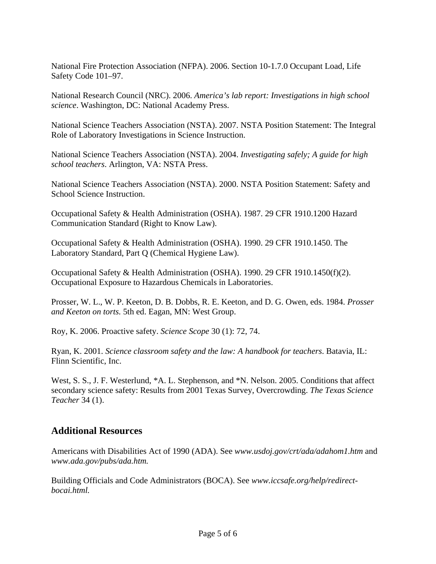National Fire Protection Association (NFPA). 2006. Section 10-1.7.0 Occupant Load, Life Safety Code 101–97.

National Research Council (NRC). 2006. *America's lab report: Investigations in high school science*. Washington, DC: National Academy Press.

National Science Teachers Association (NSTA). 2007. NSTA Position Statement: The Integral Role of Laboratory Investigations in Science Instruction.

National Science Teachers Association (NSTA). 2004. *Investigating safely; A guide for high school teachers*. Arlington, VA: NSTA Press.

National Science Teachers Association (NSTA). 2000. NSTA Position Statement: Safety and School Science Instruction.

Occupational Safety & Health Administration (OSHA). 1987. 29 CFR 1910.1200 Hazard Communication Standard (Right to Know Law).

Occupational Safety & Health Administration (OSHA). 1990. 29 CFR 1910.1450. The Laboratory Standard, Part Q (Chemical Hygiene Law).

Occupational Safety & Health Administration (OSHA). 1990. 29 CFR 1910.1450(f)(2). Occupational Exposure to Hazardous Chemicals in Laboratories.

Prosser, W. L., W. P. Keeton, D. B. Dobbs, R. E. Keeton, and D. G. Owen, eds. 1984. *Prosser and Keeton on torts.* 5th ed. Eagan, MN: West Group.

Roy, K. 2006. Proactive safety. *Science Scope* 30 (1): 72, 74.

Ryan, K. 2001. *Science classroom safety and the law: A handbook for teachers*. Batavia, IL: Flinn Scientific, Inc.

West, S. S., J. F. Westerlund, \*A. L. Stephenson, and \*N. Nelson. 2005. Conditions that affect secondary science safety: Results from 2001 Texas Survey, Overcrowding. *The Texas Science Teacher* 34 (1).

## **Additional Resources**

Americans with Disabilities Act of 1990 (ADA). See *www.usdoj.gov/crt/ada/adahom1.htm* and *www.ada.gov/pubs/ada.htm.*

Building Officials and Code Administrators (BOCA). See *www.iccsafe.org/help/redirectbocai.html.*